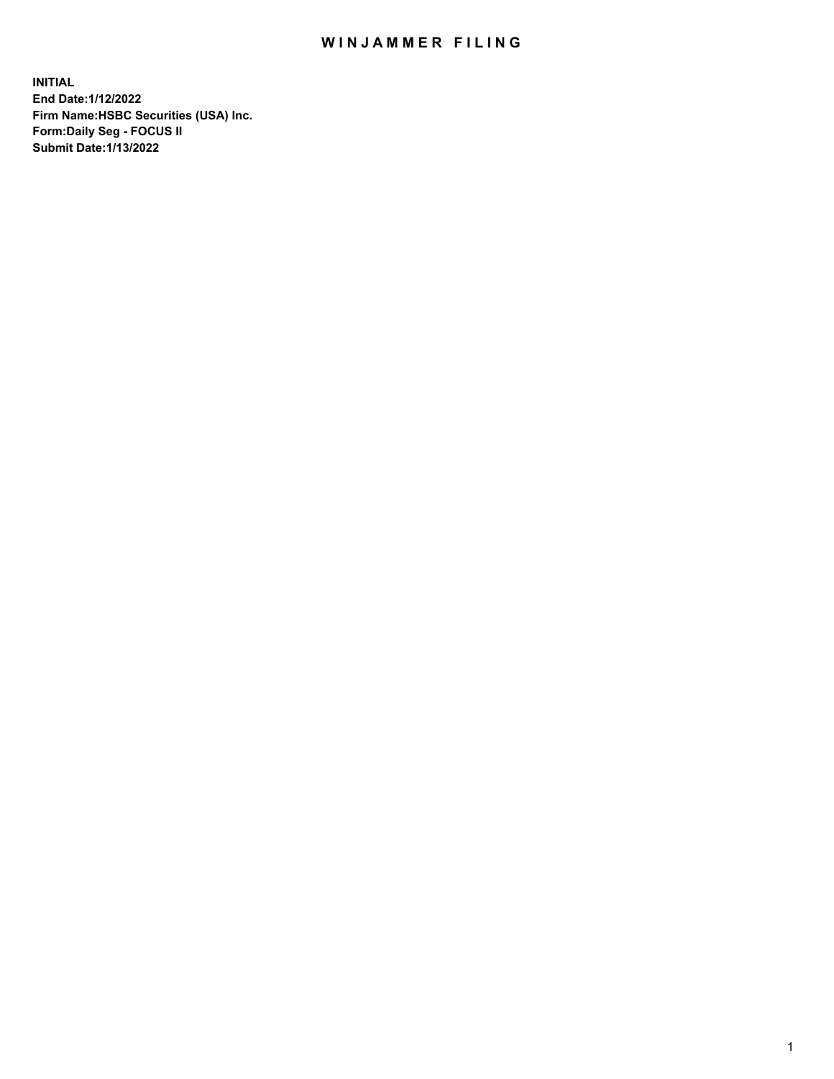## WIN JAMMER FILING

**INITIAL End Date:1/12/2022 Firm Name:HSBC Securities (USA) Inc. Form:Daily Seg - FOCUS II Submit Date:1/13/2022**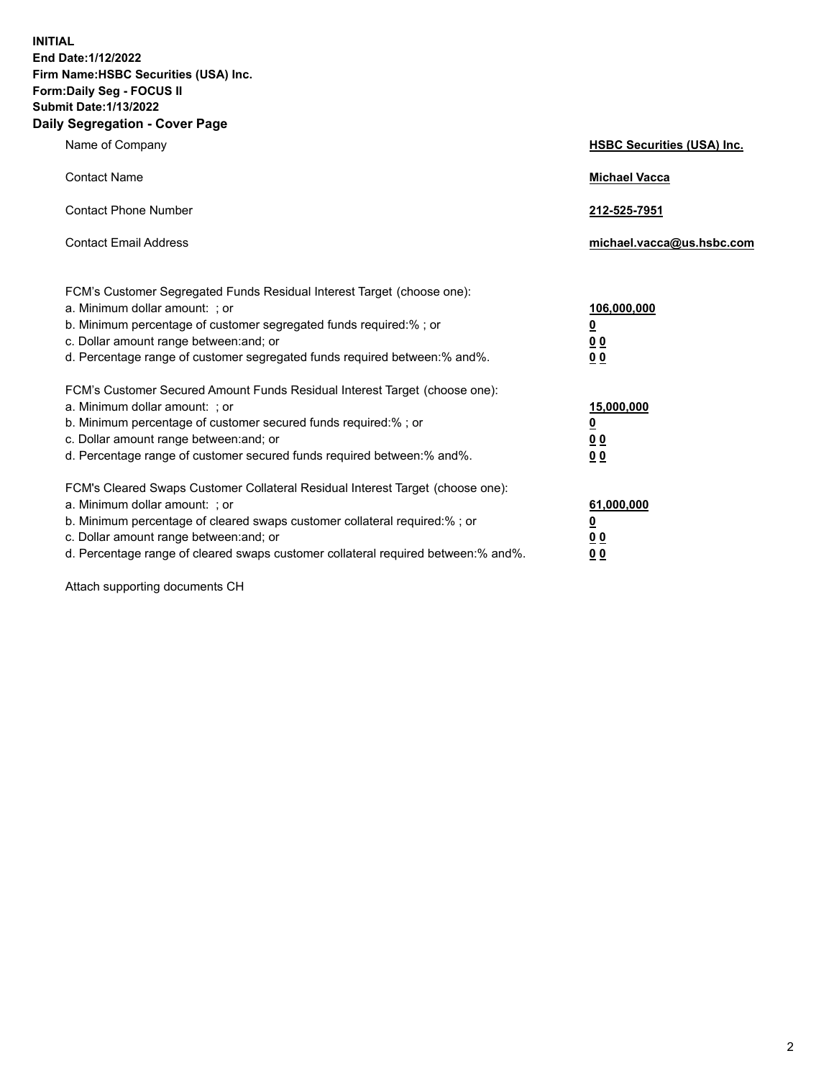**INITIAL End Date:1/12/2022 Firm Name:HSBC Securities (USA) Inc. Form:Daily Seg - FOCUS II Submit Date:1/13/2022 Daily Segregation - Cover Page**

| Name of Company                                                                                                                                                                                                                                                                                                                | <b>HSBC Securities (USA) Inc.</b>                          |
|--------------------------------------------------------------------------------------------------------------------------------------------------------------------------------------------------------------------------------------------------------------------------------------------------------------------------------|------------------------------------------------------------|
| <b>Contact Name</b>                                                                                                                                                                                                                                                                                                            | <b>Michael Vacca</b>                                       |
| <b>Contact Phone Number</b>                                                                                                                                                                                                                                                                                                    | 212-525-7951                                               |
| <b>Contact Email Address</b>                                                                                                                                                                                                                                                                                                   | michael.vacca@us.hsbc.com                                  |
| FCM's Customer Segregated Funds Residual Interest Target (choose one):<br>a. Minimum dollar amount: ; or<br>b. Minimum percentage of customer segregated funds required:%; or<br>c. Dollar amount range between: and; or<br>d. Percentage range of customer segregated funds required between: % and %.                        | 106,000,000<br><u>0</u><br>00<br>0 <sub>0</sub>            |
| FCM's Customer Secured Amount Funds Residual Interest Target (choose one):<br>a. Minimum dollar amount: ; or<br>b. Minimum percentage of customer secured funds required:%; or<br>c. Dollar amount range between: and; or<br>d. Percentage range of customer secured funds required between: % and %.                          | 15,000,000<br><u>0</u><br>0 <sub>0</sub><br>0 <sub>0</sub> |
| FCM's Cleared Swaps Customer Collateral Residual Interest Target (choose one):<br>a. Minimum dollar amount: ; or<br>b. Minimum percentage of cleared swaps customer collateral required:% ; or<br>c. Dollar amount range between: and; or<br>d. Percentage range of cleared swaps customer collateral required between:% and%. | 61,000,000<br><u>0</u><br><u>00</u><br>00                  |

Attach supporting documents CH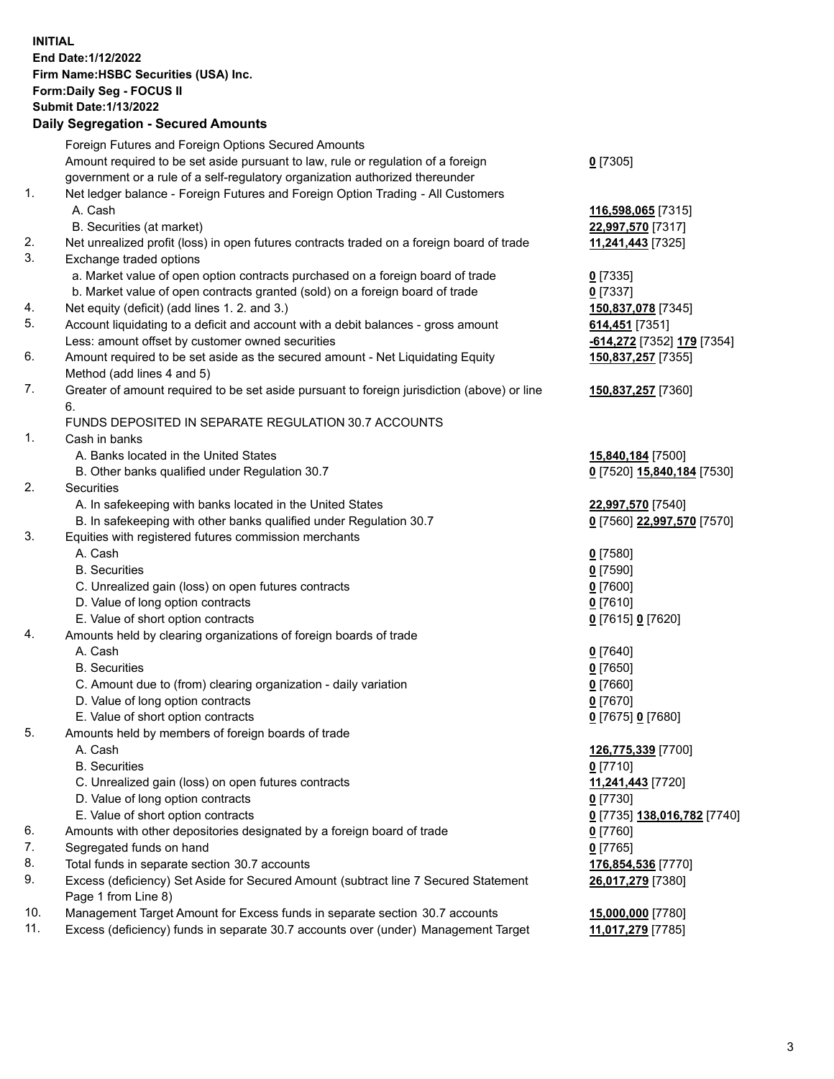**INITIAL End Date:1/12/2022 Firm Name:HSBC Securities (USA) Inc. Form:Daily Seg - FOCUS II Submit Date:1/13/2022 Daily Segregation - Secured Amounts**

## Foreign Futures and Foreign Options Secured Amounts Amount required to be set aside pursuant to law, rule or regulation of a foreign government or a rule of a self-regulatory organization authorized thereunder **0** [7305] 1. Net ledger balance - Foreign Futures and Foreign Option Trading - All Customers A. Cash **116,598,065** [7315] B. Securities (at market) **22,997,570** [7317] 2. Net unrealized profit (loss) in open futures contracts traded on a foreign board of trade **11,241,443** [7325] 3. Exchange traded options a. Market value of open option contracts purchased on a foreign board of trade **0** [7335] b. Market value of open contracts granted (sold) on a foreign board of trade **0** [7337] 4. Net equity (deficit) (add lines 1. 2. and 3.) **150,837,078** [7345] 5. Account liquidating to a deficit and account with a debit balances - gross amount **614,451** [7351] Less: amount offset by customer owned securities **-614,272** [7352] **179** [7354] 6. Amount required to be set aside as the secured amount - Net Liquidating Equity Method (add lines 4 and 5) **150,837,257** [7355] 7. Greater of amount required to be set aside pursuant to foreign jurisdiction (above) or line 6. **150,837,257** [7360] FUNDS DEPOSITED IN SEPARATE REGULATION 30.7 ACCOUNTS 1. Cash in banks A. Banks located in the United States **15,840,184** [7500] B. Other banks qualified under Regulation 30.7 **0** [7520] **15,840,184** [7530] 2. Securities A. In safekeeping with banks located in the United States **22,997,570** [7540] B. In safekeeping with other banks qualified under Regulation 30.7 **0** [7560] **22,997,570** [7570] 3. Equities with registered futures commission merchants A. Cash **0** [7580] B. Securities **0** [7590] C. Unrealized gain (loss) on open futures contracts **0** [7600] D. Value of long option contracts **0** [7610] E. Value of short option contracts **0** [7615] **0** [7620] 4. Amounts held by clearing organizations of foreign boards of trade A. Cash **0** [7640] B. Securities **0** [7650] C. Amount due to (from) clearing organization - daily variation **0** [7660] D. Value of long option contracts **0** [7670] E. Value of short option contracts **0** [7675] **0** [7680] 5. Amounts held by members of foreign boards of trade A. Cash **126,775,339** [7700] B. Securities **0** [7710] C. Unrealized gain (loss) on open futures contracts **11,241,443** [7720] D. Value of long option contracts **0** [7730] E. Value of short option contracts **0** [7735] **138,016,782** [7740] 6. Amounts with other depositories designated by a foreign board of trade **0** [7760] 7. Segregated funds on hand **0** [7765] 8. Total funds in separate section 30.7 accounts **176,854,536** [7770] 9. Excess (deficiency) Set Aside for Secured Amount (subtract line 7 Secured Statement Page 1 from Line 8) **26,017,279** [7380] 10. Management Target Amount for Excess funds in separate section 30.7 accounts **15,000,000** [7780] 11. Excess (deficiency) funds in separate 30.7 accounts over (under) Management Target **11,017,279** [7785]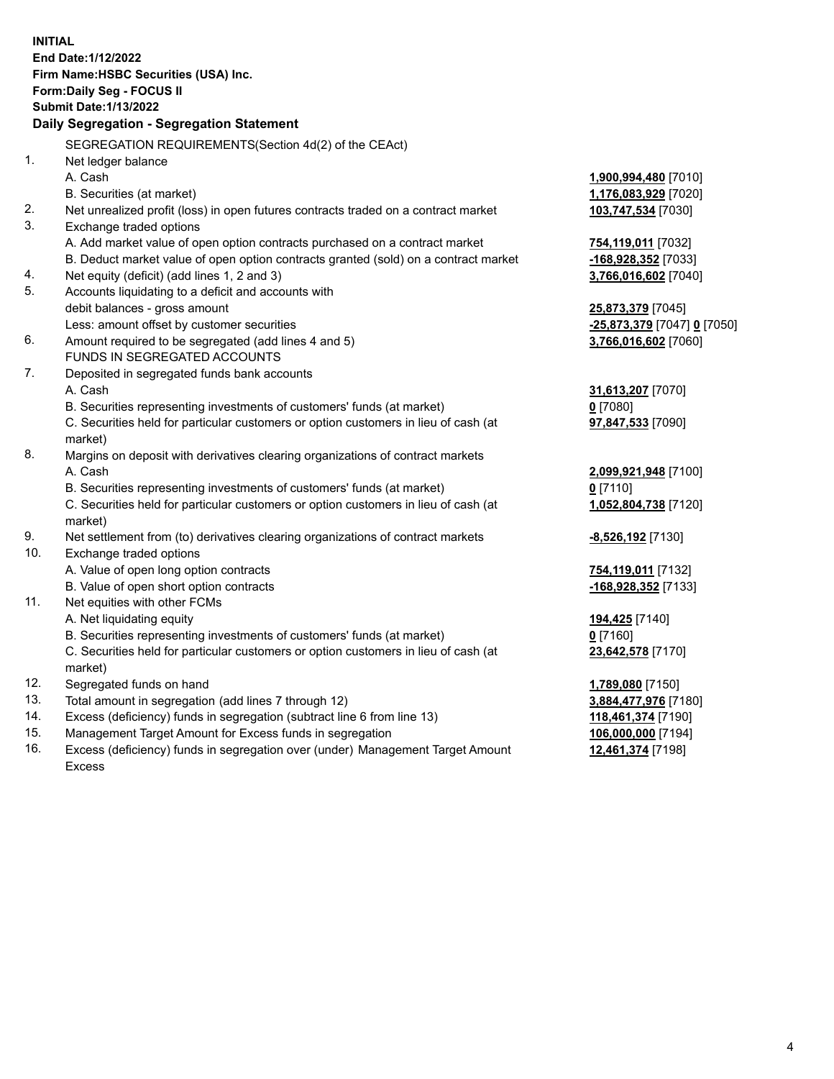**INITIAL End Date:1/12/2022 Firm Name:HSBC Securities (USA) Inc. Form:Daily Seg - FOCUS II Submit Date:1/13/2022 Daily Segregation - Segregation Statement** SEGREGATION REQUIREMENTS(Section 4d(2) of the CEAct) 1. Net ledger balance A. Cash **1,900,994,480** [7010] B. Securities (at market) **1,176,083,929** [7020] 2. Net unrealized profit (loss) in open futures contracts traded on a contract market **103,747,534** [7030] 3. Exchange traded options A. Add market value of open option contracts purchased on a contract market **754,119,011** [7032] B. Deduct market value of open option contracts granted (sold) on a contract market **-168,928,352** [7033] 4. Net equity (deficit) (add lines 1, 2 and 3) **3,766,016,602** [7040] 5. Accounts liquidating to a deficit and accounts with debit balances - gross amount **25,873,379** [7045] Less: amount offset by customer securities **-25,873,379** [7047] **0** [7050] 6. Amount required to be segregated (add lines 4 and 5) **3,766,016,602** [7060] FUNDS IN SEGREGATED ACCOUNTS 7. Deposited in segregated funds bank accounts A. Cash **31,613,207** [7070] B. Securities representing investments of customers' funds (at market) **0** [7080] C. Securities held for particular customers or option customers in lieu of cash (at market) **97,847,533** [7090] 8. Margins on deposit with derivatives clearing organizations of contract markets A. Cash **2,099,921,948** [7100] B. Securities representing investments of customers' funds (at market) **0** [7110] C. Securities held for particular customers or option customers in lieu of cash (at market) **1,052,804,738** [7120] 9. Net settlement from (to) derivatives clearing organizations of contract markets **-8,526,192** [7130] 10. Exchange traded options A. Value of open long option contracts **754,119,011** [7132] B. Value of open short option contracts **-168,928,352** [7133] 11. Net equities with other FCMs A. Net liquidating equity **194,425** [7140] B. Securities representing investments of customers' funds (at market) **0** [7160] C. Securities held for particular customers or option customers in lieu of cash (at market) **23,642,578** [7170] 12. Segregated funds on hand **1,789,080** [7150] 13. Total amount in segregation (add lines 7 through 12) **3,884,477,976** [7180] 14. Excess (deficiency) funds in segregation (subtract line 6 from line 13) **118,461,374** [7190] 15. Management Target Amount for Excess funds in segregation **106,000,000** [7194]

16. Excess (deficiency) funds in segregation over (under) Management Target Amount Excess

**12,461,374** [7198]